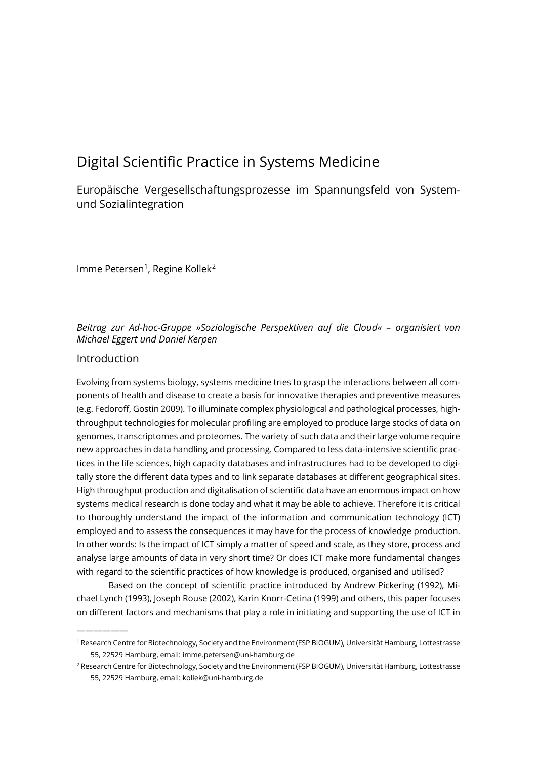# Digital Scientific Practice in Systems Medicine

Europäische Vergesellschaftungsprozesse im Spannungsfeld von Systemund Sozialintegration

Imme Petersen<sup>[1](#page-0-0)</sup>, Regine Kollek<sup>[2](#page-0-1)</sup>

## *Beitrag zur Ad-hoc-Gruppe »Soziologische Perspektiven auf die Cloud« – organisiert von Michael Eggert und Daniel Kerpen*

### Introduction

——————

Evolving from systems biology, systems medicine tries to grasp the interactions between all components of health and disease to create a basis for innovative therapies and preventive measures (e.g. Fedoroff, Gostin 2009). To illuminate complex physiological and pathological processes, highthroughput technologies for molecular profiling are employed to produce large stocks of data on genomes, transcriptomes and proteomes. The variety of such data and their large volume require new approaches in data handling and processing. Compared to less data-intensive scientific practices in the life sciences, high capacity databases and infrastructures had to be developed to digitally store the different data types and to link separate databases at different geographical sites. High throughput production and digitalisation of scientific data have an enormous impact on how systems medical research is done today and what it may be able to achieve. Therefore it is critical to thoroughly understand the impact of the information and communication technology (ICT) employed and to assess the consequences it may have for the process of knowledge production. In other words: Is the impact of ICT simply a matter of speed and scale, as they store, process and analyse large amounts of data in very short time? Or does ICT make more fundamental changes with regard to the scientific practices of how knowledge is produced, organised and utilised?

Based on the concept of scientific practice introduced by Andrew Pickering (1992), Michael Lynch (1993), Joseph Rouse (2002), Karin Knorr-Cetina (1999) and others, this paper focuses on different factors and mechanisms that play a role in initiating and supporting the use of ICT in

<span id="page-0-0"></span><sup>1</sup> Research Centre for Biotechnology, Society and the Environment (FSP BIOGUM), Universität Hamburg, Lottestrasse 55, 22529 Hamburg, email: imme.petersen@uni‐hamburg.de

<span id="page-0-1"></span><sup>&</sup>lt;sup>2</sup> Research Centre for Biotechnology, Society and the Environment (FSP BIOGUM), Universität Hamburg, Lottestrasse 55, 22529 Hamburg, email: kollek@uni‐hamburg.de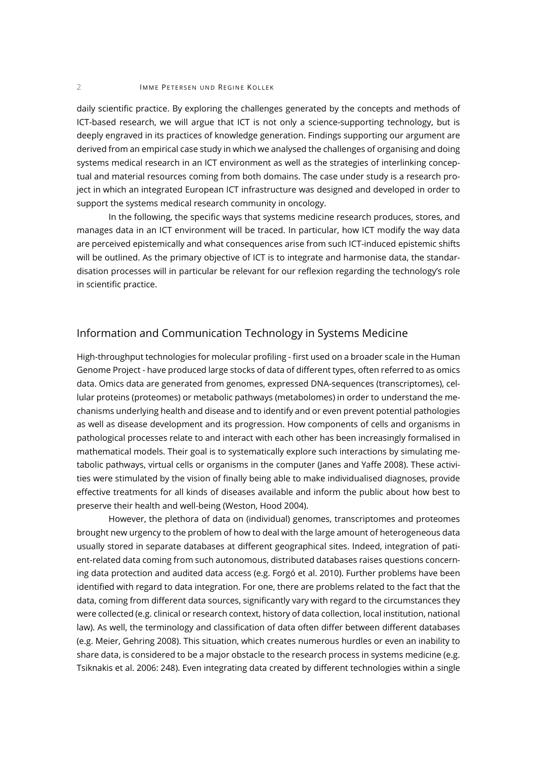#### 2 IMME PETERSEN UND REGINE KOLLEK

daily scientific practice. By exploring the challenges generated by the concepts and methods of ICT-based research, we will argue that ICT is not only a science-supporting technology, but is deeply engraved in its practices of knowledge generation. Findings supporting our argument are derived from an empirical case study in which we analysed the challenges of organising and doing systems medical research in an ICT environment as well as the strategies of interlinking conceptual and material resources coming from both domains. The case under study is a research project in which an integrated European ICT infrastructure was designed and developed in order to support the systems medical research community in oncology.

In the following, the specific ways that systems medicine research produces, stores, and manages data in an ICT environment will be traced. In particular, how ICT modify the way data are perceived epistemically and what consequences arise from such ICT-induced epistemic shifts will be outlined. As the primary objective of ICT is to integrate and harmonise data, the standardisation processes will in particular be relevant for our reflexion regarding the technology's role in scientific practice.

# Information and Communication Technology in Systems Medicine

High-throughput technologies for molecular profiling - first used on a broader scale in the Human Genome Project - have produced large stocks of data of different types, often referred to as omics data. Omics data are generated from genomes, expressed DNA-sequences (transcriptomes), cellular proteins (proteomes) or metabolic pathways (metabolomes) in order to understand the mechanisms underlying health and disease and to identify and or even prevent potential pathologies as well as disease development and its progression. How components of cells and organisms in pathological processes relate to and interact with each other has been increasingly formalised in mathematical models. Their goal is to systematically explore such interactions by simulating metabolic pathways, virtual cells or organisms in the computer (Janes and Yaffe 2008). These activities were stimulated by the vision of finally being able to make individualised diagnoses, provide effective treatments for all kinds of diseases available and inform the public about how best to preserve their health and well-being (Weston, Hood 2004).

However, the plethora of data on (individual) genomes, transcriptomes and proteomes brought new urgency to the problem of how to deal with the large amount of heterogeneous data usually stored in separate databases at different geographical sites. Indeed, integration of patient-related data coming from such autonomous, distributed databases raises questions concerning data protection and audited data access (e.g. Forgó et al. 2010). Further problems have been identified with regard to data integration. For one, there are problems related to the fact that the data, coming from different data sources, significantly vary with regard to the circumstances they were collected (e.g. clinical or research context, history of data collection, local institution, national law). As well, the terminology and classification of data often differ between different databases (e.g. Meier, Gehring 2008). This situation, which creates numerous hurdles or even an inability to share data, is considered to be a major obstacle to the research process in systems medicine (e.g. Tsiknakis et al. 2006: 248). Even integrating data created by different technologies within a single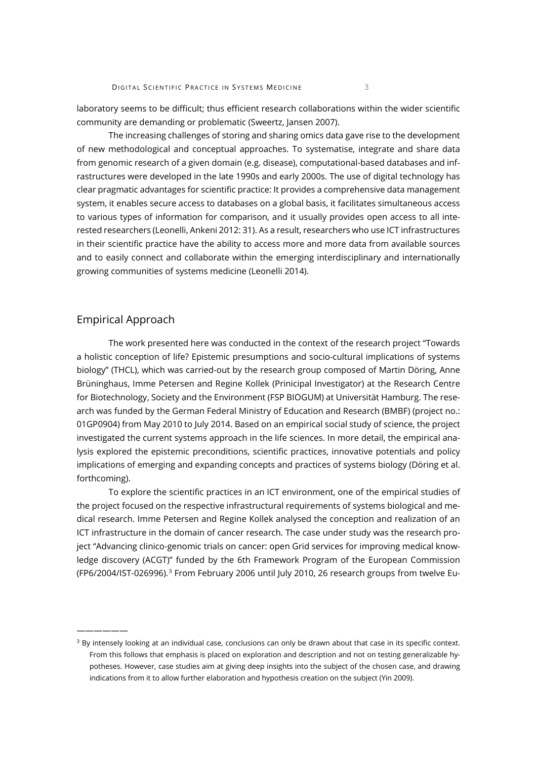laboratory seems to be difficult; thus efficient research collaborations within the wider scientific community are demanding or problematic (Sweertz, Jansen 2007).

The increasing challenges of storing and sharing omics data gave rise to the development of new methodological and conceptual approaches. To systematise, integrate and share data from genomic research of a given domain (e.g. disease), computational-based databases and infrastructures were developed in the late 1990s and early 2000s. The use of digital technology has clear pragmatic advantages for scientific practice: It provides a comprehensive data management system, it enables secure access to databases on a global basis, it facilitates simultaneous access to various types of information for comparison, and it usually provides open access to all interested researchers (Leonelli, Ankeni 2012: 31). As a result, researchers who use ICT infrastructures in their scientific practice have the ability to access more and more data from available sources and to easily connect and collaborate within the emerging interdisciplinary and internationally growing communities of systems medicine (Leonelli 2014).

### Empirical Approach

——————

The work presented here was conducted in the context of the research project "Towards a holistic conception of life? Epistemic presumptions and socio-cultural implications of systems biology" (THCL), which was carried-out by the research group composed of Martin Döring, Anne Brüninghaus, Imme Petersen and Regine Kollek (Prinicipal Investigator) at the Research Centre for Biotechnology, Society and the Environment (FSP BIOGUM) at Universität Hamburg. The research was funded by the German Federal Ministry of Education and Research (BMBF) (project no.: 01GP0904) from May 2010 to July 2014. Based on an empirical social study of science, the project investigated the current systems approach in the life sciences. In more detail, the empirical analysis explored the epistemic preconditions, scientific practices, innovative potentials and policy implications of emerging and expanding concepts and practices of systems biology (Döring et al. forthcoming).

To explore the scientific practices in an ICT environment, one of the empirical studies of the project focused on the respective infrastructural requirements of systems biological and medical research. Imme Petersen and Regine Kollek analysed the conception and realization of an ICT infrastructure in the domain of cancer research. The case under study was the research project "Advancing clinico-genomic trials on cancer: open Grid services for improving medical knowledge discovery (ACGT)" funded by the 6th Framework Program of the European Commission (FP6/2004/IST-026996).<sup>[3](#page-2-0)</sup> From February 2006 until July 2010, 26 research groups from twelve Eu-

<span id="page-2-0"></span><sup>&</sup>lt;sup>3</sup> By intensely looking at an individual case, conclusions can only be drawn about that case in its specific context. From this follows that emphasis is placed on exploration and description and not on testing generalizable hypotheses. However, case studies aim at giving deep insights into the subject of the chosen case, and drawing indications from it to allow further elaboration and hypothesis creation on the subject (Yin 2009).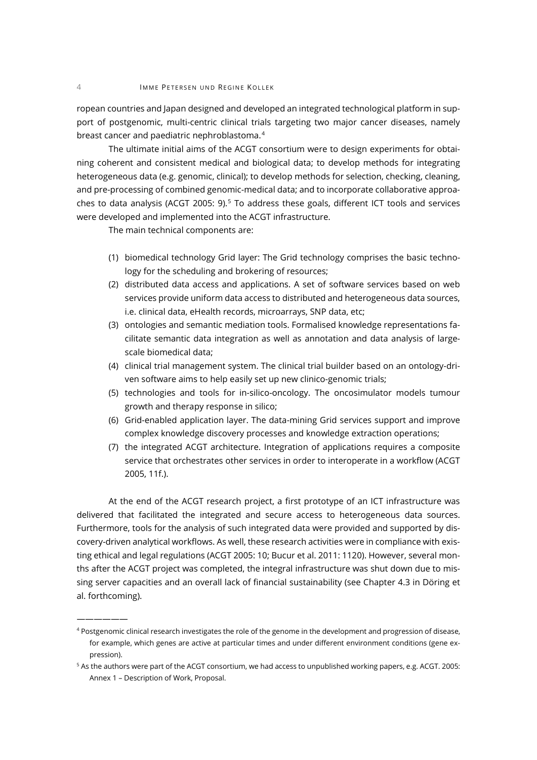ropean countries and Japan designed and developed an integrated technological platform in support of postgenomic, multi-centric clinical trials targeting two major cancer diseases, namely breast cancer and paediatric nephroblastoma.<sup>[4](#page-3-0)</sup>

The ultimate initial aims of the ACGT consortium were to design experiments for obtaining coherent and consistent medical and biological data; to develop methods for integrating heterogeneous data (e.g. genomic, clinical); to develop methods for selection, checking, cleaning, and pre-processing of combined genomic-medical data; and to incorporate collaborative approa-ches to data analysis (ACGT 200[5](#page-3-1): 9).<sup>5</sup> To address these goals, different ICT tools and services were developed and implemented into the ACGT infrastructure.

The main technical components are:

——————

- (1) biomedical technology Grid layer: The Grid technology comprises the basic technology for the scheduling and brokering of resources;
- (2) distributed data access and applications. A set of software services based on web services provide uniform data access to distributed and heterogeneous data sources, i.e. clinical data, eHealth records, microarrays, SNP data, etc;
- (3) ontologies and semantic mediation tools. Formalised knowledge representations facilitate semantic data integration as well as annotation and data analysis of largescale biomedical data;
- (4) clinical trial management system. The clinical trial builder based on an ontology-driven software aims to help easily set up new clinico-genomic trials;
- (5) technologies and tools for in-silico-oncology. The oncosimulator models tumour growth and therapy response in silico;
- (6) Grid-enabled application layer. The data-mining Grid services support and improve complex knowledge discovery processes and knowledge extraction operations;
- (7) the integrated ACGT architecture. Integration of applications requires a composite service that orchestrates other services in order to interoperate in a workflow (ACGT 2005, 11f.).

At the end of the ACGT research project, a first prototype of an ICT infrastructure was delivered that facilitated the integrated and secure access to heterogeneous data sources. Furthermore, tools for the analysis of such integrated data were provided and supported by discovery-driven analytical workflows. As well, these research activities were in compliance with existing ethical and legal regulations (ACGT 2005: 10; Bucur et al. 2011: 1120). However, several months after the ACGT project was completed, the integral infrastructure was shut down due to missing server capacities and an overall lack of financial sustainability (see Chapter 4.3 in Döring et al. forthcoming).

<span id="page-3-0"></span><sup>4</sup> Postgenomic clinical research investigates the role of the genome in the development and progression of disease, for example, which genes are active at particular times and under different environment conditions (gene expression).

<span id="page-3-1"></span><sup>5</sup> As the authors were part of the ACGT consortium, we had access to unpublished working papers, e.g. ACGT. 2005: Annex 1 – Description of Work, Proposal.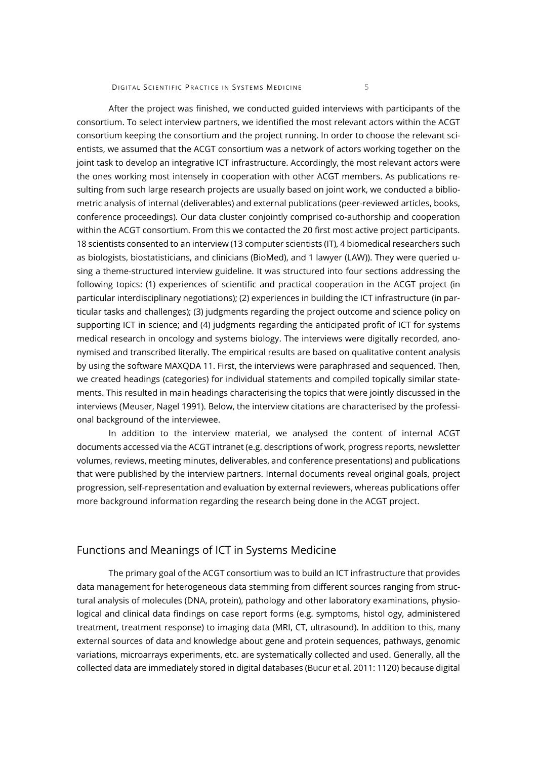DIGITAL SCIENTIFIC PRACTICE IN SYSTEMS MEDICINE 5

After the project was finished, we conducted guided interviews with participants of the consortium. To select interview partners, we identified the most relevant actors within the ACGT consortium keeping the consortium and the project running. In order to choose the relevant scientists, we assumed that the ACGT consortium was a network of actors working together on the joint task to develop an integrative ICT infrastructure. Accordingly, the most relevant actors were the ones working most intensely in cooperation with other ACGT members. As publications resulting from such large research projects are usually based on joint work, we conducted a bibliometric analysis of internal (deliverables) and external publications (peer-reviewed articles, books, conference proceedings). Our data cluster conjointly comprised co-authorship and cooperation within the ACGT consortium. From this we contacted the 20 first most active project participants. 18 scientists consented to an interview (13 computer scientists (IT), 4 biomedical researchers such as biologists, biostatisticians, and clinicians (BioMed), and 1 lawyer (LAW)). They were queried using a theme-structured interview guideline. It was structured into four sections addressing the following topics: (1) experiences of scientific and practical cooperation in the ACGT project (in particular interdisciplinary negotiations); (2) experiences in building the ICT infrastructure (in particular tasks and challenges); (3) judgments regarding the project outcome and science policy on supporting ICT in science; and (4) judgments regarding the anticipated profit of ICT for systems medical research in oncology and systems biology. The interviews were digitally recorded, anonymised and transcribed literally. The empirical results are based on qualitative content analysis by using the software MAXQDA 11. First, the interviews were paraphrased and sequenced. Then, we created headings (categories) for individual statements and compiled topically similar statements. This resulted in main headings characterising the topics that were jointly discussed in the interviews (Meuser, Nagel 1991). Below, the interview citations are characterised by the professional background of the interviewee.

In addition to the interview material, we analysed the content of internal ACGT documents accessed via the ACGT intranet (e.g. descriptions of work, progress reports, newsletter volumes, reviews, meeting minutes, deliverables, and conference presentations) and publications that were published by the interview partners. Internal documents reveal original goals, project progression, self-representation and evaluation by external reviewers, whereas publications offer more background information regarding the research being done in the ACGT project.

## Functions and Meanings of ICT in Systems Medicine

The primary goal of the ACGT consortium was to build an ICT infrastructure that provides data management for heterogeneous data stemming from different sources ranging from structural analysis of molecules (DNA, protein), pathology and other laboratory examinations, physiological and clinical data findings on case report forms (e.g. symptoms, histol ogy, administered treatment, treatment response) to imaging data (MRI, CT, ultrasound). In addition to this, many external sources of data and knowledge about gene and protein sequences, pathways, genomic variations, microarrays experiments, etc. are systematically collected and used. Generally, all the collected data are immediately stored in digital databases (Bucur et al. 2011: 1120) because digital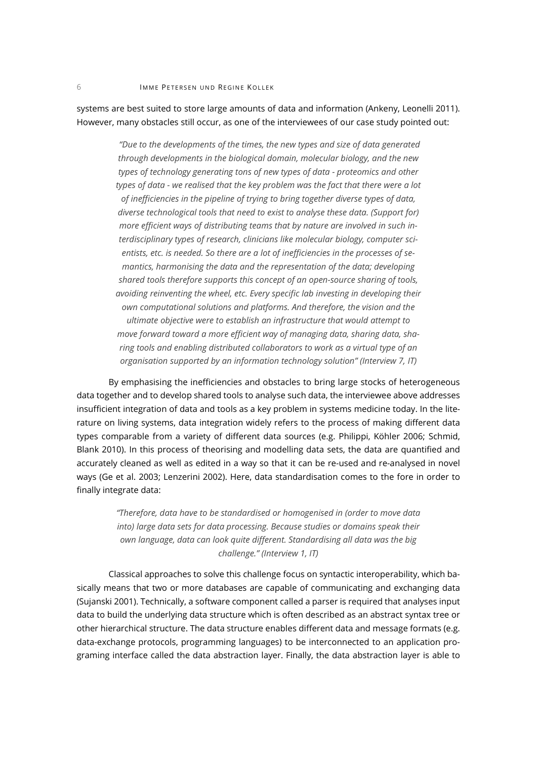systems are best suited to store large amounts of data and information (Ankeny, Leonelli 2011). However, many obstacles still occur, as one of the interviewees of our case study pointed out:

> *"Due to the developments of the times, the new types and size of data generated through developments in the biological domain, molecular biology, and the new types of technology generating tons of new types of data - proteomics and other types of data - we realised that the key problem was the fact that there were a lot of inefficiencies in the pipeline of trying to bring together diverse types of data, diverse technological tools that need to exist to analyse these data. (Support for) more efficient ways of distributing teams that by nature are involved in such interdisciplinary types of research, clinicians like molecular biology, computer scientists, etc. is needed. So there are a lot of inefficiencies in the processes of semantics, harmonising the data and the representation of the data; developing shared tools therefore supports this concept of an open-source sharing of tools, avoiding reinventing the wheel, etc. Every specific lab investing in developing their own computational solutions and platforms. And therefore, the vision and the ultimate objective were to establish an infrastructure that would attempt to move forward toward a more efficient way of managing data, sharing data, sharing tools and enabling distributed collaborators to work as a virtual type of an organisation supported by an information technology solution" (Interview 7, IT)*

By emphasising the inefficiencies and obstacles to bring large stocks of heterogeneous data together and to develop shared tools to analyse such data, the interviewee above addresses insufficient integration of data and tools as a key problem in systems medicine today. In the literature on living systems, data integration widely refers to the process of making different data types comparable from a variety of different data sources (e.g. Philippi, Köhler 2006; Schmid, Blank 2010). In this process of theorising and modelling data sets, the data are quantified and accurately cleaned as well as edited in a way so that it can be re-used and re-analysed in novel ways (Ge et al. 2003; Lenzerini 2002). Here, data standardisation comes to the fore in order to finally integrate data:

> *"Therefore, data have to be standardised or homogenised in (order to move data into) large data sets for data processing. Because studies or domains speak their own language, data can look quite different. Standardising all data was the big challenge." (Interview 1, IT)*

Classical approaches to solve this challenge focus on syntactic interoperability, which basically means that two or more databases are capable of communicating and exchanging data (Sujanski 2001). Technically, a software component called a parser is required that analyses input data to build the underlying data structure which is often described as an abstract syntax tree or other hierarchical structure. The data structure enables different data and message formats (e.g. data-exchange protocols, programming languages) to be interconnected to an application programing interface called the data abstraction layer. Finally, the data abstraction layer is able to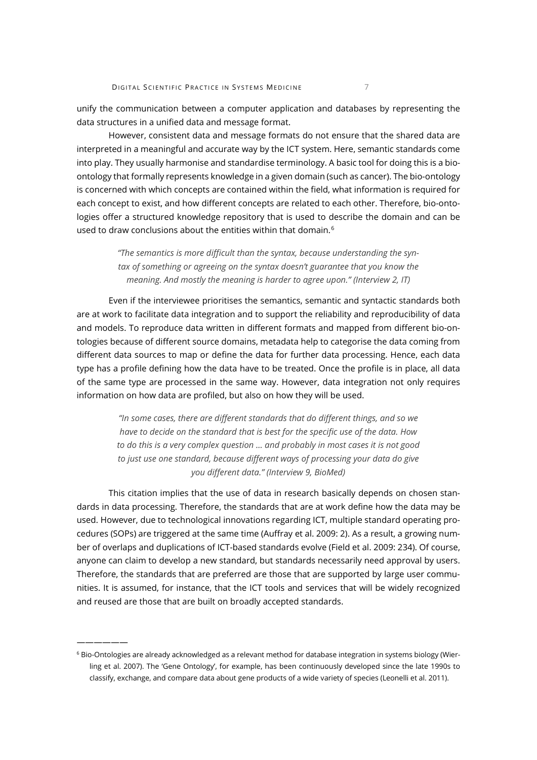unify the communication between a computer application and databases by representing the data structures in a unified data and message format.

However, consistent data and message formats do not ensure that the shared data are interpreted in a meaningful and accurate way by the ICT system. Here, semantic standards come into play. They usually harmonise and standardise terminology. A basic tool for doing this is a bioontology that formally represents knowledge in a given domain (such as cancer). The bio-ontology is concerned with which concepts are contained within the field, what information is required for each concept to exist, and how different concepts are related to each other. Therefore, bio-ontologies offer a structured knowledge repository that is used to describe the domain and can be used to draw conclusions about the entities within that domain.<sup>[6](#page-6-0)</sup>

> *"The semantics is more difficult than the syntax, because understanding the syntax of something or agreeing on the syntax doesn't guarantee that you know the meaning. And mostly the meaning is harder to agree upon." (Interview 2, IT)*

Even if the interviewee prioritises the semantics, semantic and syntactic standards both are at work to facilitate data integration and to support the reliability and reproducibility of data and models. To reproduce data written in different formats and mapped from different bio-ontologies because of different source domains, metadata help to categorise the data coming from different data sources to map or define the data for further data processing. Hence, each data type has a profile defining how the data have to be treated. Once the profile is in place, all data of the same type are processed in the same way. However, data integration not only requires information on how data are profiled, but also on how they will be used.

> *"In some cases, there are different standards that do different things, and so we have to decide on the standard that is best for the specific use of the data. How to do this is a very complex question ... and probably in most cases it is not good to just use one standard, because different ways of processing your data do give you different data." (Interview 9, BioMed)*

This citation implies that the use of data in research basically depends on chosen standards in data processing. Therefore, the standards that are at work define how the data may be used. However, due to technological innovations regarding ICT, multiple standard operating procedures (SOPs) are triggered at the same time (Auffray et al. 2009: 2). As a result, a growing number of overlaps and duplications of ICT-based standards evolve (Field et al. 2009: 234). Of course, anyone can claim to develop a new standard, but standards necessarily need approval by users. Therefore, the standards that are preferred are those that are supported by large user communities. It is assumed, for instance, that the ICT tools and services that will be widely recognized and reused are those that are built on broadly accepted standards.

——————

<span id="page-6-0"></span><sup>6</sup> Bio-Ontologies are already acknowledged as a relevant method for database integration in systems biology (Wierling et al. 2007). The 'Gene Ontology', for example, has been continuously developed since the late 1990s to classify, exchange, and compare data about gene products of a wide variety of species (Leonelli et al. 2011).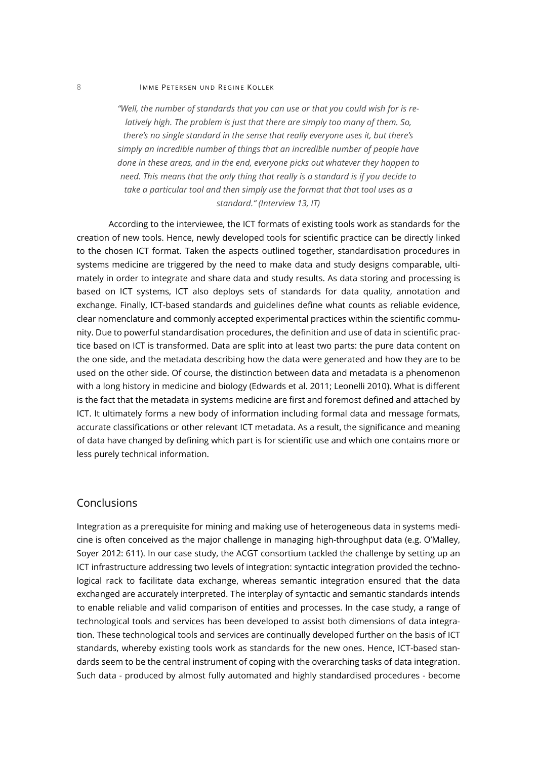#### 8 IMME PETERSEN UND REGINE KOLLEK

*"Well, the number of standards that you can use or that you could wish for is relatively high. The problem is just that there are simply too many of them. So, there's no single standard in the sense that really everyone uses it, but there's simply an incredible number of things that an incredible number of people have done in these areas, and in the end, everyone picks out whatever they happen to need. This means that the only thing that really is a standard is if you decide to take a particular tool and then simply use the format that that tool uses as a standard." (Interview 13, IT)* 

According to the interviewee, the ICT formats of existing tools work as standards for the creation of new tools. Hence, newly developed tools for scientific practice can be directly linked to the chosen ICT format. Taken the aspects outlined together, standardisation procedures in systems medicine are triggered by the need to make data and study designs comparable, ultimately in order to integrate and share data and study results. As data storing and processing is based on ICT systems, ICT also deploys sets of standards for data quality, annotation and exchange. Finally, ICT-based standards and guidelines define what counts as reliable evidence, clear nomenclature and commonly accepted experimental practices within the scientific community. Due to powerful standardisation procedures, the definition and use of data in scientific practice based on ICT is transformed. Data are split into at least two parts: the pure data content on the one side, and the metadata describing how the data were generated and how they are to be used on the other side. Of course, the distinction between data and metadata is a phenomenon with a long history in medicine and biology (Edwards et al. 2011; Leonelli 2010). What is different is the fact that the metadata in systems medicine are first and foremost defined and attached by ICT. It ultimately forms a new body of information including formal data and message formats, accurate classifications or other relevant ICT metadata. As a result, the significance and meaning of data have changed by defining which part is for scientific use and which one contains more or less purely technical information.

#### Conclusions

Integration as a prerequisite for mining and making use of heterogeneous data in systems medicine is often conceived as the major challenge in managing high-throughput data (e.g. O'Malley, Soyer 2012: 611). In our case study, the ACGT consortium tackled the challenge by setting up an ICT infrastructure addressing two levels of integration: syntactic integration provided the technological rack to facilitate data exchange, whereas semantic integration ensured that the data exchanged are accurately interpreted. The interplay of syntactic and semantic standards intends to enable reliable and valid comparison of entities and processes. In the case study, a range of technological tools and services has been developed to assist both dimensions of data integration. These technological tools and services are continually developed further on the basis of ICT standards, whereby existing tools work as standards for the new ones. Hence, ICT-based standards seem to be the central instrument of coping with the overarching tasks of data integration. Such data - produced by almost fully automated and highly standardised procedures - become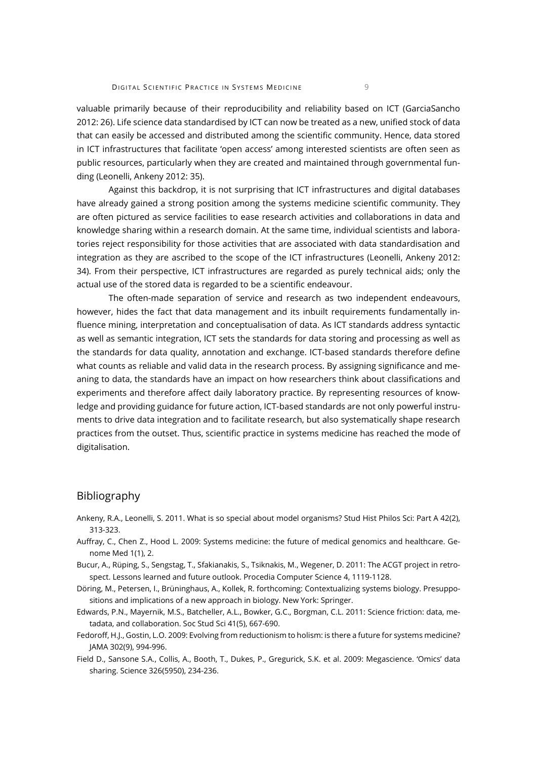valuable primarily because of their reproducibility and reliability based on ICT (GarciaSancho 2012: 26). Life science data standardised by ICT can now be treated as a new, unified stock of data that can easily be accessed and distributed among the scientific community. Hence, data stored in ICT infrastructures that facilitate 'open access' among interested scientists are often seen as public resources, particularly when they are created and maintained through governmental funding (Leonelli, Ankeny 2012: 35).

Against this backdrop, it is not surprising that ICT infrastructures and digital databases have already gained a strong position among the systems medicine scientific community. They are often pictured as service facilities to ease research activities and collaborations in data and knowledge sharing within a research domain. At the same time, individual scientists and laboratories reject responsibility for those activities that are associated with data standardisation and integration as they are ascribed to the scope of the ICT infrastructures (Leonelli, Ankeny 2012: 34). From their perspective, ICT infrastructures are regarded as purely technical aids; only the actual use of the stored data is regarded to be a scientific endeavour.

The often-made separation of service and research as two independent endeavours, however, hides the fact that data management and its inbuilt requirements fundamentally influence mining, interpretation and conceptualisation of data. As ICT standards address syntactic as well as semantic integration, ICT sets the standards for data storing and processing as well as the standards for data quality, annotation and exchange. ICT-based standards therefore define what counts as reliable and valid data in the research process. By assigning significance and meaning to data, the standards have an impact on how researchers think about classifications and experiments and therefore affect daily laboratory practice. By representing resources of knowledge and providing guidance for future action, ICT-based standards are not only powerful instruments to drive data integration and to facilitate research, but also systematically shape research practices from the outset. Thus, scientific practice in systems medicine has reached the mode of digitalisation.

#### Bibliography

- Ankeny, R.A., Leonelli, S. 2011. What is so special about model organisms? Stud Hist Philos Sci: Part A 42(2), 313-323.
- Auffray, C., Chen Z., Hood L. 2009: Systems medicine: the future of medical genomics and healthcare. Genome Med 1(1), 2.
- Bucur, A., Rüping, S., Sengstag, T., Sfakianakis, S., Tsiknakis, M., Wegener, D. 2011: The ACGT project in retrospect. Lessons learned and future outlook. Procedia Computer Science 4, 1119-1128.
- Döring, M., Petersen, I., Brüninghaus, A., Kollek, R. forthcoming: Contextualizing systems biology. Presuppositions and implications of a new approach in biology. New York: Springer.
- Edwards, P.N., Mayernik, M.S., Batcheller, A.L., Bowker, G.C., Borgman, C.L. 2011: Science friction: data, metadata, and collaboration. Soc Stud Sci 41(5), 667-690.
- Fedoroff, H.J., Gostin, L.O. 2009: Evolving from reductionism to holism: is there a future for systems medicine? JAMA 302(9), 994-996.
- Field D., Sansone S.A., Collis, A., Booth, T., Dukes, P., Gregurick, S.K. et al. 2009: Megascience. 'Omics' data sharing. Science 326(5950), 234-236.